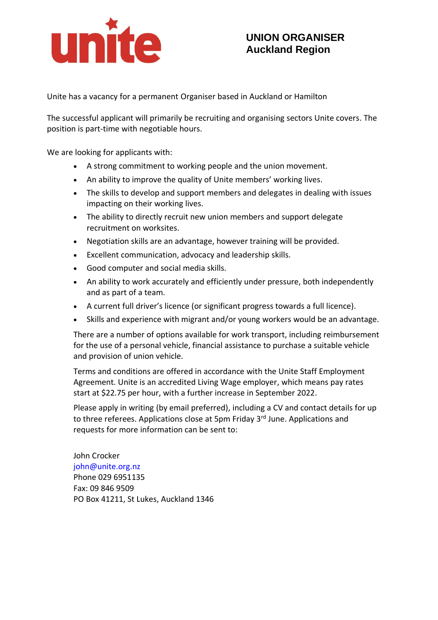

## **UNION ORGANISER Auckland Region**

Unite has a vacancy for a permanent Organiser based in Auckland or Hamilton

The successful applicant will primarily be recruiting and organising sectors Unite covers. The position is part-time with negotiable hours.

We are looking for applicants with:

- A strong commitment to working people and the union movement.
- An ability to improve the quality of Unite members' working lives.
- The skills to develop and support members and delegates in dealing with issues impacting on their working lives.
- The ability to directly recruit new union members and support delegate recruitment on worksites.
- Negotiation skills are an advantage, however training will be provided.
- Excellent communication, advocacy and leadership skills.
- Good computer and social media skills.
- An ability to work accurately and efficiently under pressure, both independently and as part of a team.
- A current full driver's licence (or significant progress towards a full licence).
- Skills and experience with migrant and/or young workers would be an advantage.

There are a number of options available for work transport, including reimbursement for the use of a personal vehicle, financial assistance to purchase a suitable vehicle and provision of union vehicle.

Terms and conditions are offered in accordance with the Unite Staff Employment Agreement. Unite is an accredited Living Wage employer, which means pay rates start at \$22.75 per hour, with a further increase in September 2022.

Please apply in writing (by email preferred), including a CV and contact details for up to three referees. Applications close at 5pm Friday 3<sup>rd</sup> June. Applications and requests for more information can be sent to:

John Crocker john@unite.org.nz Phone 029 6951135 Fax: 09 846 9509 PO Box 41211, St Lukes, Auckland 1346